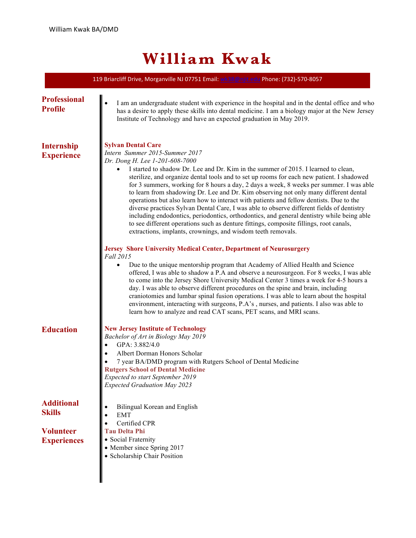## **William Kwak**

| 119 Briarcliff Drive, Morganville NJ 07751 Email: wk38@njit.edu Phone: (732)-570-8057 |                                                                                                                                                                                                                                                                                                                                                                                                                                                                                                                                                                                                                                                                                                                                                                                                                                                                                                                                                                                                                                                                                                                                                                                                                                                                                                                                                                                                                                                                                                                                                                                                                                             |
|---------------------------------------------------------------------------------------|---------------------------------------------------------------------------------------------------------------------------------------------------------------------------------------------------------------------------------------------------------------------------------------------------------------------------------------------------------------------------------------------------------------------------------------------------------------------------------------------------------------------------------------------------------------------------------------------------------------------------------------------------------------------------------------------------------------------------------------------------------------------------------------------------------------------------------------------------------------------------------------------------------------------------------------------------------------------------------------------------------------------------------------------------------------------------------------------------------------------------------------------------------------------------------------------------------------------------------------------------------------------------------------------------------------------------------------------------------------------------------------------------------------------------------------------------------------------------------------------------------------------------------------------------------------------------------------------------------------------------------------------|
| <b>Professional</b><br><b>Profile</b>                                                 | I am an undergraduate student with experience in the hospital and in the dental office and who<br>has a desire to apply these skills into dental medicine. I am a biology major at the New Jersey<br>Institute of Technology and have an expected graduation in May 2019.                                                                                                                                                                                                                                                                                                                                                                                                                                                                                                                                                                                                                                                                                                                                                                                                                                                                                                                                                                                                                                                                                                                                                                                                                                                                                                                                                                   |
| <b>Internship</b><br><b>Experience</b>                                                | <b>Sylvan Dental Care</b><br>Intern Summer 2015-Summer 2017<br>Dr. Dong H. Lee 1-201-608-7000<br>I started to shadow Dr. Lee and Dr. Kim in the summer of 2015. I learned to clean,<br>sterilize, and organize dental tools and to set up rooms for each new patient. I shadowed<br>for 3 summers, working for 8 hours a day, 2 days a week, 8 weeks per summer. I was able<br>to learn from shadowing Dr. Lee and Dr. Kim observing not only many different dental<br>operations but also learn how to interact with patients and fellow dentists. Due to the<br>diverse practices Sylvan Dental Care, I was able to observe different fields of dentistry<br>including endodontics, periodontics, orthodontics, and general dentistry while being able<br>to see different operations such as denture fittings, composite fillings, root canals,<br>extractions, implants, crownings, and wisdom teeth removals.<br>Jersey Shore University Medical Center, Department of Neurosurgery<br>Fall 2015<br>Due to the unique mentorship program that Academy of Allied Health and Science<br>$\bullet$<br>offered, I was able to shadow a P.A and observe a neurosurgeon. For 8 weeks, I was able<br>to come into the Jersey Shore University Medical Center 3 times a week for 4-5 hours a<br>day. I was able to observe different procedures on the spine and brain, including<br>craniotomies and lumbar spinal fusion operations. I was able to learn about the hospital<br>environment, interacting with surgeons, P.A's, nurses, and patients. I also was able to<br>learn how to analyze and read CAT scans, PET scans, and MRI scans. |
| <b>Education</b>                                                                      | <b>New Jersey Institute of Technology</b><br>Bachelor of Art in Biology May 2019<br>GPA: 3.882/4.0<br>Albert Dorman Honors Scholar<br>7 year BA/DMD program with Rutgers School of Dental Medicine<br><b>Rutgers School of Dental Medicine</b><br><b>Expected to start September 2019</b><br><b>Expected Graduation May 2023</b>                                                                                                                                                                                                                                                                                                                                                                                                                                                                                                                                                                                                                                                                                                                                                                                                                                                                                                                                                                                                                                                                                                                                                                                                                                                                                                            |
| <b>Additional</b><br><b>Skills</b><br><b>Volunteer</b><br><b>Experiences</b>          | Bilingual Korean and English<br>$\bullet$<br><b>EMT</b><br>$\bullet$<br>Certified CPR<br>$\bullet$<br><b>Tau Delta Phi</b><br>• Social Fraternity<br>• Member since Spring 2017<br>• Scholarship Chair Position                                                                                                                                                                                                                                                                                                                                                                                                                                                                                                                                                                                                                                                                                                                                                                                                                                                                                                                                                                                                                                                                                                                                                                                                                                                                                                                                                                                                                             |